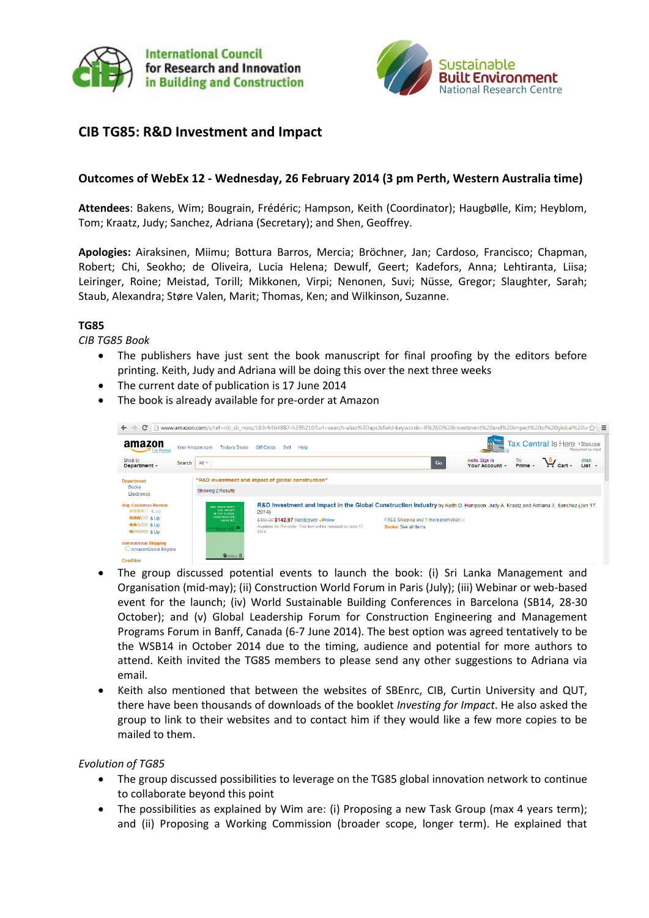



# **CIB TG85: R&D Investment and Impact**

## **Outcomes of WebEx 12 - Wednesday, 26 February 2014 (3 pm Perth, Western Australia time)**

**Attendees**: Bakens, Wim; Bougrain, Frédéric; Hampson, Keith (Coordinator); Haugbølle, Kim; Heyblom, Tom; Kraatz, Judy; Sanchez, Adriana (Secretary); and Shen, Geoffrey.

**Apologies:** Airaksinen, Miimu; Bottura Barros, Mercia; Bröchner, Jan; Cardoso, Francisco; Chapman, Robert; Chi, Seokho; de Oliveira, Lucia Helena; Dewulf, Geert; Kadefors, Anna; Lehtiranta, Liisa; Leiringer, Roine; Meistad, Torill; Mikkonen, Virpi; Nenonen, Suvi; Nüsse, Gregor; Slaughter, Sarah; Staub, Alexandra; Støre Valen, Marit; Thomas, Ken; and Wilkinson, Suzanne.

#### **TG85**

*CIB TG85 Book*

- The publishers have just sent the book manuscript for final proofing by the editors before printing. Keith, Judy and Adriana will be doing this over the next three weeks
- The current date of publication is 17 June 2014
- The book is already available for pre-order at Amazon

| amazon<br><b>Try Prime</b>                                                                                                     | Your Amazon.com<br><b>Today's Deals</b>                                                                                             | <b>Gift Cards</b><br>Sell<br>Help                                                                                       |                                                                | Tax Central Is Here > Shop now<br>Presented by Intui                                                                              |
|--------------------------------------------------------------------------------------------------------------------------------|-------------------------------------------------------------------------------------------------------------------------------------|-------------------------------------------------------------------------------------------------------------------------|----------------------------------------------------------------|-----------------------------------------------------------------------------------------------------------------------------------|
| Shop by<br>Search<br>Department $\sim$                                                                                         | All $\sim$                                                                                                                          |                                                                                                                         | Go                                                             | Hello. Sign in<br>Wish<br>$\mathbf{u}_{\mathsf{cart}}$<br>Try<br>Prime –<br>List $\sim$<br>Your Account $\sim$                    |
| <b>Department</b><br><b>Books</b><br>Electronics                                                                               | Showing 2 Results                                                                                                                   | "R&D investment and impact of global construction"                                                                      |                                                                |                                                                                                                                   |
| <b>Avg. Customer Review</b><br><b>食食食食</b> & Up<br><b>ARRIVE &amp; Up</b><br><b>ARAGE &amp; Up</b><br><b>REGISTER &amp; Up</b> | <b>RAD INVESTMENT</b><br><b>AND IMPACT</b><br>IN THE GLOBAL<br><b>CONSTRUCTION</b><br>INDUSTRY<br><b>THE PERSON AND A ROAD CARD</b> | 2014)<br>\$455.00 \$142.97 Hardcover JPrime<br>Available for Pre-order. This item will be released on June 17.<br>2014. | FREE Shipping and 1 more promotion [9]<br>Books: See all items | R&D Investment and Impact in the Global Construction Industry by Keith D. Hampson, Judy A. Kraatz and Adriana X. Sanchez (Jun 17, |
| <b>International Shipping</b><br>AmazonGlobal Eligible<br>Condition                                                            |                                                                                                                                     |                                                                                                                         |                                                                |                                                                                                                                   |

- The group discussed potential events to launch the book: (i) Sri Lanka Management and Organisation (mid-may); (ii) Construction World Forum in Paris (July); (iii) Webinar or web-based event for the launch; (iv) World Sustainable Building Conferences in Barcelona (SB14, 28-30 October); and (v) Global Leadership Forum for Construction Engineering and Management Programs Forum in Banff, Canada (6-7 June 2014). The best option was agreed tentatively to be the WSB14 in October 2014 due to the timing, audience and potential for more authors to attend. Keith invited the TG85 members to please send any other suggestions to Adriana via email.
- Keith also mentioned that between the websites of SBEnrc, CIB, Curtin University and QUT, there have been thousands of downloads of the booklet *Investing for Impact*. He also asked the group to link to their websites and to contact him if they would like a few more copies to be mailed to them.

### *Evolution of TG85*

- The group discussed possibilities to leverage on the TG85 global innovation network to continue to collaborate beyond this point
- The possibilities as explained by Wim are: (i) Proposing a new Task Group (max 4 years term); and (ii) Proposing a Working Commission (broader scope, longer term). He explained that